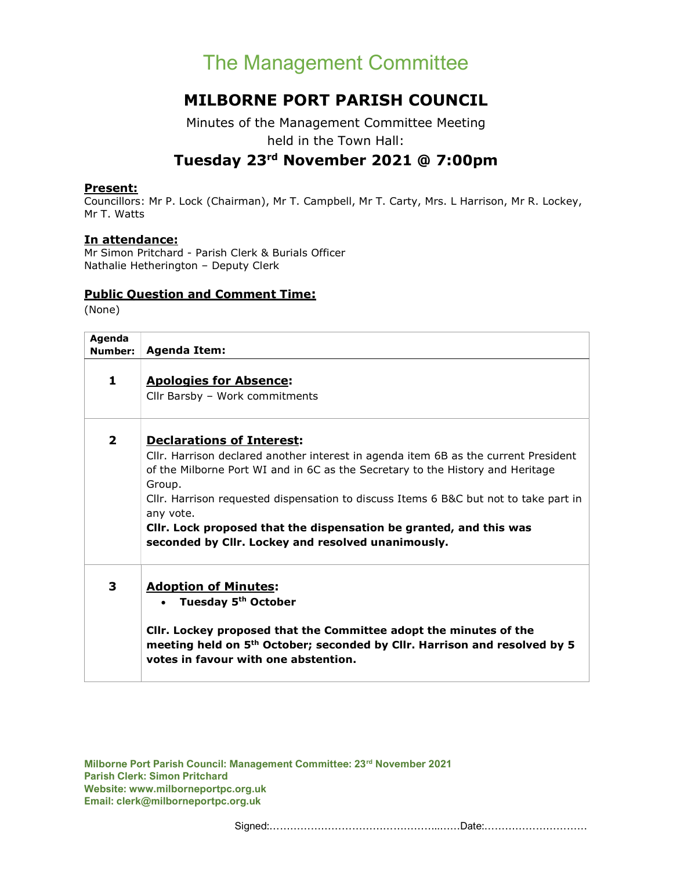# The Management Committee

### MILBORNE PORT PARISH COUNCIL

Minutes of the Management Committee Meeting held in the Town Hall:

## Tuesday 23rd November 2021 @ 7:00pm

#### Present:

Councillors: Mr P. Lock (Chairman), Mr T. Campbell, Mr T. Carty, Mrs. L Harrison, Mr R. Lockey, Mr T. Watts

#### In attendance:

Mr Simon Pritchard - Parish Clerk & Burials Officer Nathalie Hetherington – Deputy Clerk

#### Public Question and Comment Time:

(None)

| Agenda<br>Number: | <b>Agenda Item:</b>                                                                                                                                                                                                                                                                                                                                                                                                                                  |
|-------------------|------------------------------------------------------------------------------------------------------------------------------------------------------------------------------------------------------------------------------------------------------------------------------------------------------------------------------------------------------------------------------------------------------------------------------------------------------|
| $\mathbf{1}$      | <b>Apologies for Absence:</b><br>Cllr Barsby - Work commitments                                                                                                                                                                                                                                                                                                                                                                                      |
| $\mathbf{2}$      | <b>Declarations of Interest:</b><br>Cllr. Harrison declared another interest in agenda item 6B as the current President<br>of the Milborne Port WI and in 6C as the Secretary to the History and Heritage<br>Group.<br>Cllr. Harrison requested dispensation to discuss Items 6 B&C but not to take part in<br>any vote.<br>Cllr. Lock proposed that the dispensation be granted, and this was<br>seconded by Cllr. Lockey and resolved unanimously. |
| 3                 | <b>Adoption of Minutes:</b><br>Tuesday 5 <sup>th</sup> October<br>CIIr. Lockey proposed that the Committee adopt the minutes of the<br>meeting held on 5 <sup>th</sup> October; seconded by Cllr. Harrison and resolved by 5<br>votes in favour with one abstention.                                                                                                                                                                                 |

Milborne Port Parish Council: Management Committee: 23rd November 2021 Parish Clerk: Simon Pritchard Website: www.milborneportpc.org.uk Email: clerk@milborneportpc.org.uk

Signed:…………………………………………..……Date:…………………………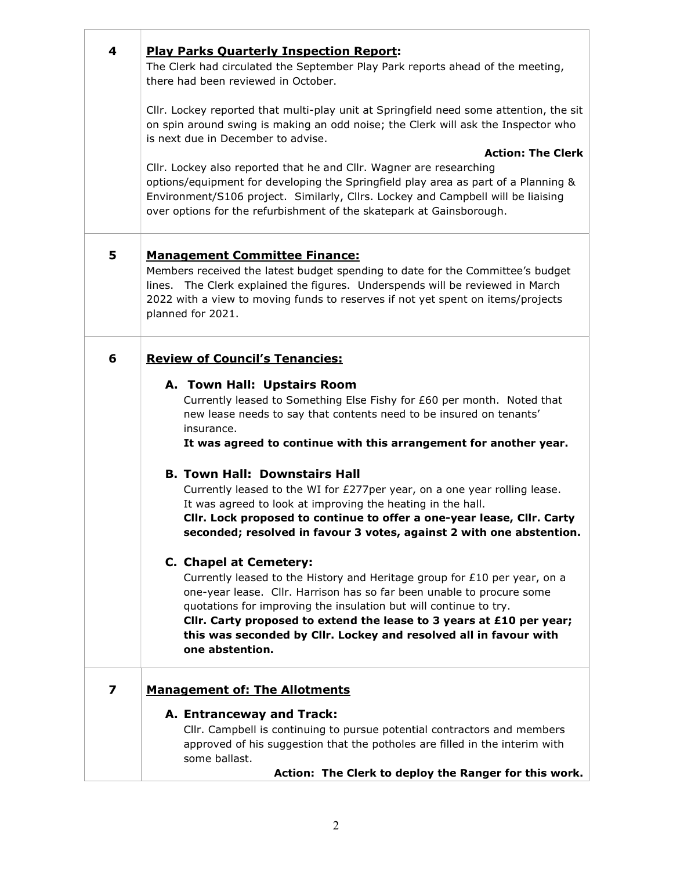| 4 | <b>Play Parks Quarterly Inspection Report:</b>                                                                                                                  |
|---|-----------------------------------------------------------------------------------------------------------------------------------------------------------------|
|   | The Clerk had circulated the September Play Park reports ahead of the meeting,                                                                                  |
|   | there had been reviewed in October.                                                                                                                             |
|   | Cllr. Lockey reported that multi-play unit at Springfield need some attention, the sit                                                                          |
|   | on spin around swing is making an odd noise; the Clerk will ask the Inspector who                                                                               |
|   | is next due in December to advise.                                                                                                                              |
|   | <b>Action: The Clerk</b><br>Cllr. Lockey also reported that he and Cllr. Wagner are researching                                                                 |
|   | options/equipment for developing the Springfield play area as part of a Planning &                                                                              |
|   | Environment/S106 project. Similarly, Cllrs. Lockey and Campbell will be liaising                                                                                |
|   | over options for the refurbishment of the skatepark at Gainsborough.                                                                                            |
|   |                                                                                                                                                                 |
| 5 | <b>Management Committee Finance:</b>                                                                                                                            |
|   | Members received the latest budget spending to date for the Committee's budget<br>lines. The Clerk explained the figures. Underspends will be reviewed in March |
|   | 2022 with a view to moving funds to reserves if not yet spent on items/projects                                                                                 |
|   | planned for 2021.                                                                                                                                               |
|   |                                                                                                                                                                 |
| 6 | <b>Review of Council's Tenancies:</b>                                                                                                                           |
|   | A. Town Hall: Upstairs Room                                                                                                                                     |
|   | Currently leased to Something Else Fishy for £60 per month. Noted that                                                                                          |
|   | new lease needs to say that contents need to be insured on tenants'                                                                                             |
|   | insurance.<br>It was agreed to continue with this arrangement for another year.                                                                                 |
|   |                                                                                                                                                                 |
|   | <b>B. Town Hall: Downstairs Hall</b>                                                                                                                            |
|   | Currently leased to the WI for £277per year, on a one year rolling lease.                                                                                       |
|   | It was agreed to look at improving the heating in the hall.<br>Cllr. Lock proposed to continue to offer a one-year lease, Cllr. Carty                           |
|   | seconded; resolved in favour 3 votes, against 2 with one abstention.                                                                                            |
|   | C. Chapel at Cemetery:                                                                                                                                          |
|   | Currently leased to the History and Heritage group for £10 per year, on a                                                                                       |
|   | one-year lease. Cllr. Harrison has so far been unable to procure some                                                                                           |
|   | quotations for improving the insulation but will continue to try.                                                                                               |
|   | CIIr. Carty proposed to extend the lease to 3 years at £10 per year;<br>this was seconded by Cllr. Lockey and resolved all in favour with                       |
|   | one abstention.                                                                                                                                                 |
|   |                                                                                                                                                                 |
| 7 | <b>Management of: The Allotments</b>                                                                                                                            |
|   | A. Entranceway and Track:                                                                                                                                       |
|   | Cllr. Campbell is continuing to pursue potential contractors and members                                                                                        |
|   | approved of his suggestion that the potholes are filled in the interim with<br>some ballast.                                                                    |
|   | Action: The Clerk to deploy the Ranger for this work.                                                                                                           |

Τ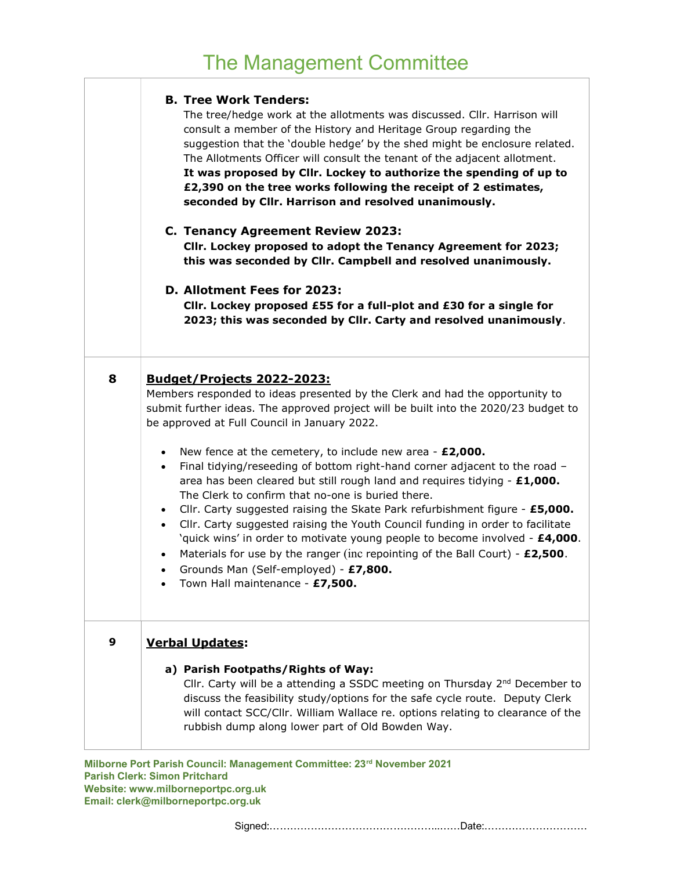#### B. Tree Work Tenders:

The tree/hedge work at the allotments was discussed. Cllr. Harrison will consult a member of the History and Heritage Group regarding the suggestion that the 'double hedge' by the shed might be enclosure related. The Allotments Officer will consult the tenant of the adjacent allotment. It was proposed by Cllr. Lockey to authorize the spending of up to £2,390 on the tree works following the receipt of 2 estimates, seconded by Cllr. Harrison and resolved unanimously.

### C. Tenancy Agreement Review 2023:

Cllr. Lockey proposed to adopt the Tenancy Agreement for 2023; this was seconded by Cllr. Campbell and resolved unanimously.

#### D. Allotment Fees for 2023:

Cllr. Lockey proposed £55 for a full-plot and £30 for a single for 2023; this was seconded by Cllr. Carty and resolved unanimously.

| 8 | <b>Budget/Projects 2022-2023:</b><br>Members responded to ideas presented by the Clerk and had the opportunity to<br>submit further ideas. The approved project will be built into the 2020/23 budget to<br>be approved at Full Council in January 2022.                                                                                                                                                                                                                                                                                                                                                                                                                                                                                                                                |
|---|-----------------------------------------------------------------------------------------------------------------------------------------------------------------------------------------------------------------------------------------------------------------------------------------------------------------------------------------------------------------------------------------------------------------------------------------------------------------------------------------------------------------------------------------------------------------------------------------------------------------------------------------------------------------------------------------------------------------------------------------------------------------------------------------|
|   | New fence at the cemetery, to include new area - $£2,000$ .<br>$\bullet$<br>Final tidying/reseeding of bottom right-hand corner adjacent to the road -<br>$\bullet$<br>area has been cleared but still rough land and requires tidying $-E1,000$ .<br>The Clerk to confirm that no-one is buried there.<br>Cllr. Carty suggested raising the Skate Park refurbishment figure - £5,000.<br>$\bullet$<br>Cllr. Carty suggested raising the Youth Council funding in order to facilitate<br>$\bullet$<br>'quick wins' in order to motivate young people to become involved - £4,000.<br>Materials for use by the ranger (inc repointing of the Ball Court) - $£2,500$ .<br>$\bullet$<br>Grounds Man (Self-employed) - £7,800.<br>$\bullet$<br>Town Hall maintenance - £7,500.<br>$\bullet$ |
| 9 | <b>Verbal Updates:</b><br>a) Parish Footpaths/Rights of Way:<br>Cllr. Carty will be a attending a SSDC meeting on Thursday $2^{nd}$ December to<br>discuss the feasibility study/options for the safe cycle route. Deputy Clerk<br>will contact SCC/Cllr. William Wallace re. options relating to clearance of the<br>rubbish dump along lower part of Old Bowden Way.                                                                                                                                                                                                                                                                                                                                                                                                                  |

Milborne Port Parish Council: Management Committee: 23<sup>rd</sup> November 2021 Parish Clerk: Simon Pritchard Website: www.milborneportpc.org.uk Email: clerk@milborneportpc.org.uk

Signed:…………………………………………..……Date:…………………………